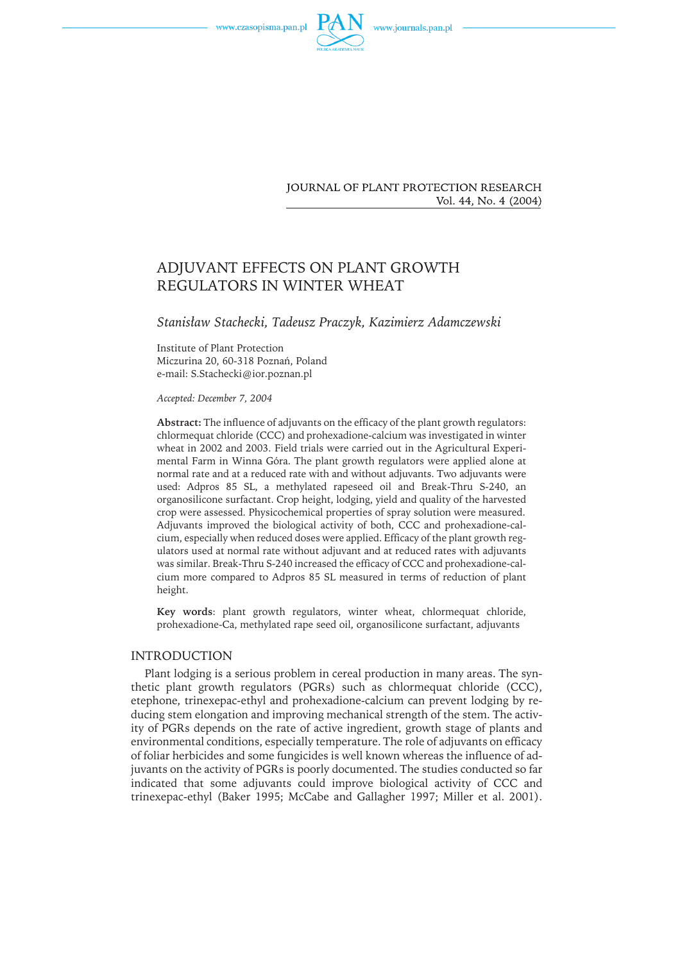



**JOURNAL OF PLANT PROTECTION RESEARCH** Vol. 44, No. 4 (2004)

# ADJUVANT EFFECTS ON PLANT GROWTH REGULATORS IN WINTER WHEAT

*Stanisław Stachecki, Tadeusz Praczyk, Kazimierz Adamczewski*

Institute of Plant Protection Miczurina 20, 60-318 Poznań, Poland e-mail: S.Stachecki@ior.poznan.pl

*Accepted: December 7, 2004*

**Abstract:** The influence of adjuvants on the efficacy of the plant growth regulators: chlormequat chloride (CCC) and prohexadione-calcium was investigated in winter wheat in 2002 and 2003. Field trials were carried out in the Agricultural Experimental Farm in Winna Góra. The plant growth regulators were applied alone at normal rate and at a reduced rate with and without adjuvants. Two adjuvants were used: Adpros 85 SL, a methylated rapeseed oil and Break-Thru S-240, an organosilicone surfactant. Crop height, lodging, yield and quality of the harvested crop were assessed. Physicochemical properties of spray solution were measured. Adjuvants improved the biological activity of both, CCC and prohexadione-calcium, especially when reduced doses were applied. Efficacy of the plant growth regulators used at normal rate without adjuvant and at reduced rates with adjuvants was similar. Break-Thru S-240 increased the efficacy of CCC and prohexadione-calcium more compared to Adpros 85 SL measured in terms of reduction of plant height.

**Key words**: plant growth regulators, winter wheat, chlormequat chloride, prohexadione-Ca, methylated rape seed oil, organosilicone surfactant, adjuvants

## INTRODUCTION

Plant lodging is a serious problem in cereal production in many areas. The synthetic plant growth regulators (PGRs) such as chlormequat chloride (CCC), etephone, trinexepac-ethyl and prohexadione-calcium can prevent lodging by reducing stem elongation and improving mechanical strength of the stem. The activity of PGRs depends on the rate of active ingredient, growth stage of plants and environmental conditions, especially temperature. The role of adjuvants on efficacy of foliar herbicides and some fungicides is well known whereas the influence of adjuvants on the activity of PGRs is poorly documented. The studies conducted so far indicated that some adjuvants could improve biological activity of CCC and trinexepac-ethyl (Baker 1995; McCabe and Gallagher 1997; Miller et al. 2001).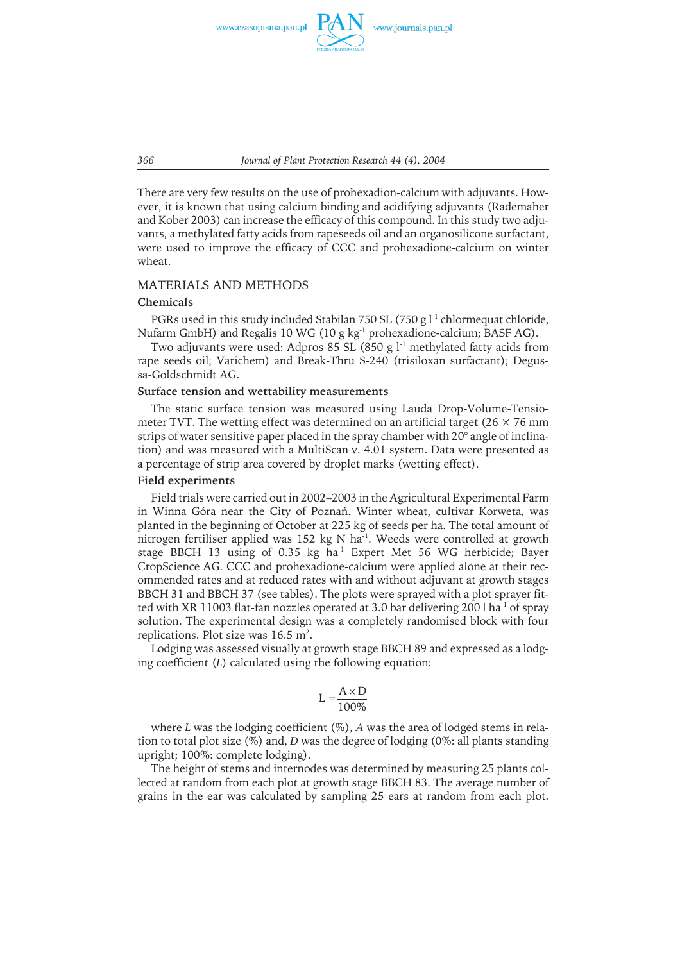

*366 Journal of Plant Protection Research 44 (4), 2004*

There are very few results on the use of prohexadion-calcium with adjuvants. However, it is known that using calcium binding and acidifying adjuvants (Rademaher and Kober 2003) can increase the efficacy of this compound. In this study two adjuvants, a methylated fatty acids from rapeseeds oil and an organosilicone surfactant, were used to improve the efficacy of CCC and prohexadione-calcium on winter wheat.

### MATERIALS AND METHODS

#### **Chemicals**

PGRs used in this study included Stabilan 750 SL (750 g  $l^{-1}$  chlormequat chloride, Nufarm GmbH) and Regalis 10 WG (10 g kg<sup>-1</sup> prohexadione-calcium; BASF AG).

Two adjuvants were used: Adpros 85 SL (850 g  $l^{-1}$  methylated fatty acids from rape seeds oil; Varichem) and Break-Thru S-240 (trisiloxan surfactant); Degussa-Goldschmidt AG.

## **Surface tension and wettability measurements**

The static surface tension was measured using Lauda Drop-Volume-Tensiometer TVT. The wetting effect was determined on an artificial target ( $26 \times 76$  mm strips of water sensitive paper placed in the spray chamber with 20° angle of inclination) and was measured with a MultiScan v. 4.01 system. Data were presented as a percentage of strip area covered by droplet marks (wetting effect).

#### **Field experiments**

Field trials were carried out in 2002–2003 in the Agricultural Experimental Farm in Winna Góra near the City of Poznań. Winter wheat, cultivar Korweta, was planted in the beginning of October at 225 kg of seeds per ha. The total amount of nitrogen fertiliser applied was 152 kg N ha<sup>-1</sup>. Weeds were controlled at growth stage BBCH 13 using of 0.35 kg ha<sup>-1</sup> Expert Met 56 WG herbicide; Bayer CropScience AG. CCC and prohexadione-calcium were applied alone at their recommended rates and at reduced rates with and without adjuvant at growth stages BBCH 31 and BBCH 37 (see tables). The plots were sprayed with a plot sprayer fitted with XR 11003 flat-fan nozzles operated at 3.0 bar delivering 2001 ha<sup>-1</sup> of spray solution. The experimental design was a completely randomised block with four replications. Plot size was  $16.5 \text{ m}^2$ .

Lodging was assessed visually at growth stage BBCH 89 and expressed as a lodging coefficient (*L*) calculated using the following equation:

$$
L = \frac{A \times D}{100\%}
$$

where *L* was the lodging coefficient (%), *A* was the area of lodged stems in relation to total plot size (%) and, *D* was the degree of lodging (0%: all plants standing upright; 100%: complete lodging).

The height of stems and internodes was determined by measuring 25 plants collected at random from each plot at growth stage BBCH 83. The average number of grains in the ear was calculated by sampling 25 ears at random from each plot.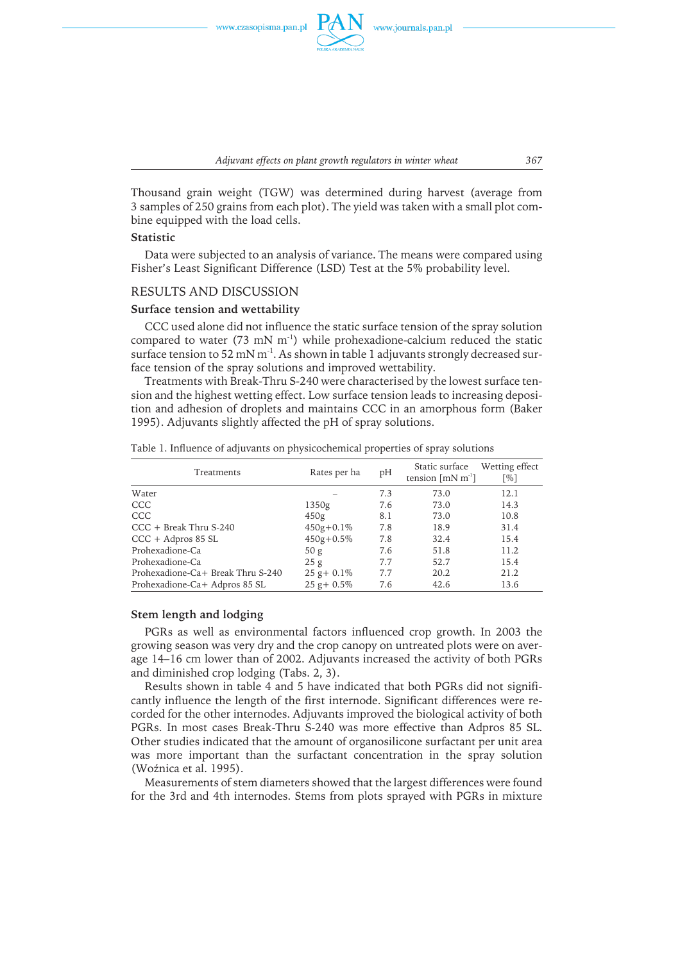

*Adjuvant effects on plant growth regulators in winter wheat 367*

Thousand grain weight (TGW) was determined during harvest (average from 3 samples of 250 grains from each plot). The yield was taken with a small plot combine equipped with the load cells.

#### **Statistic**

Data were subjected to an analysis of variance. The means were compared using Fisher's Least Significant Difference (LSD) Test at the 5% probability level.

## RESULTS AND DISCUSSION

### **Surface tension and wettability**

CCC used alone did not influence the static surface tension of the spray solution compared to water (73 mN  $m^{-1}$ ) while prohexadione-calcium reduced the static surface tension to 52 mN  $m^{-1}$ . As shown in table 1 adjuvants strongly decreased surface tension of the spray solutions and improved wettability.

Treatments with Break-Thru S-240 were characterised by the lowest surface tension and the highest wetting effect. Low surface tension leads to increasing deposition and adhesion of droplets and maintains CCC in an amorphous form (Baker 1995). Adjuvants slightly affected the pH of spray solutions.

| Treatments                        | Rates per ha    | pH  | Static surface<br>tension $\lceil$ mN m <sup>-1</sup> ] | Wetting effect<br>$\lceil \% \rceil$ |
|-----------------------------------|-----------------|-----|---------------------------------------------------------|--------------------------------------|
| Water                             |                 | 7.3 | 73.0                                                    | 12.1                                 |
| <b>CCC</b>                        | 1350g           | 7.6 | 73.0                                                    | 14.3                                 |
| <b>CCC</b>                        | 450g            | 8.1 | 73.0                                                    | 10.8                                 |
| $CCC + Break Thru S-240$          | $450g + 0.1\%$  | 7.8 | 18.9                                                    | 31.4                                 |
| $CCC + Adpros 85 SL$              | $450g + 0.5\%$  | 7.8 | 32.4                                                    | 15.4                                 |
| Prohexadione-Ca                   | 50 <sub>g</sub> | 7.6 | 51.8                                                    | 11.2                                 |
| Prohexadione-Ca                   | 25g             | 7.7 | 52.7                                                    | 15.4                                 |
| Prohexadione-Ca+ Break Thru S-240 | $25 g + 0.1\%$  | 7.7 | 20.2                                                    | 21.2                                 |
| Prohexadione-Ca+ Adpros 85 SL     | $25 g + 0.5\%$  | 7.6 | 42.6                                                    | 13.6                                 |

Table 1. Influence of adjuvants on physicochemical properties of spray solutions

#### **Stem length and lodging**

PGRs as well as environmental factors influenced crop growth. In 2003 the growing season was very dry and the crop canopy on untreated plots were on average 14–16 cm lower than of 2002. Adjuvants increased the activity of both PGRs and diminished crop lodging (Tabs. 2, 3).

Results shown in table 4 and 5 have indicated that both PGRs did not significantly influence the length of the first internode. Significant differences were recorded for the other internodes. Adjuvants improved the biological activity of both PGRs. In most cases Break-Thru S-240 was more effective than Adpros 85 SL. Other studies indicated that the amount of organosilicone surfactant per unit area was more important than the surfactant concentration in the spray solution (Woźnica et al. 1995).

Measurements of stem diameters showed that the largest differences were found for the 3rd and 4th internodes. Stems from plots sprayed with PGRs in mixture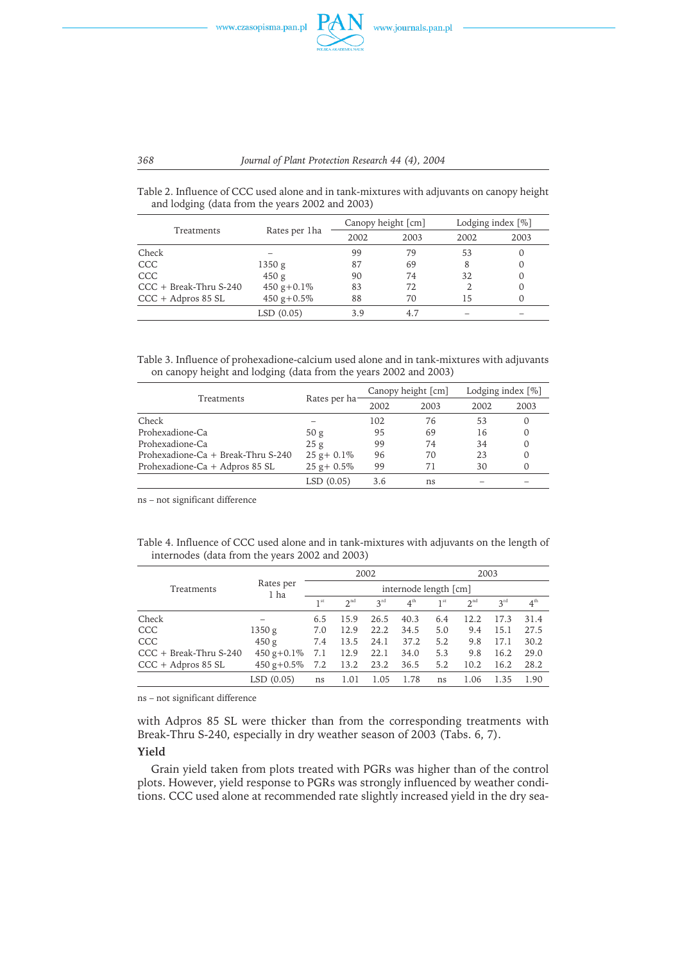



Table 2. Influence of CCC used alone and in tank-mixtures with adjuvants on canopy height and lodging (data from the years 2002 and 2003)

| Treatments               |                 |      | Canopy height [cm] | Lodging index $[\%]$ |          |  |
|--------------------------|-----------------|------|--------------------|----------------------|----------|--|
|                          | Rates per 1ha   | 2002 | 2003               | 2002                 | 2003     |  |
| Check                    |                 | 99   | 79                 | 53                   | 0        |  |
| CCC                      | 1350 g          | 87   | 69                 | 8                    | $\Omega$ |  |
| CCC                      | 450 g           | 90   | 74                 | 32                   | $\Omega$ |  |
| $CCC + Break-Thru S-240$ | 450 g+ $0.1\%$  | 83   | 72                 |                      | $\Omega$ |  |
| $CCC + Adpros 85 SL$     | 450 g + $0.5\%$ | 88   | 70                 | 15                   | 0        |  |
|                          | LSD(0.05)       | 3.9  | 4.7                |                      |          |  |

Table 3. Influence of prohexadione-calcium used alone and in tank-mixtures with adjuvants on canopy height and lodging (data from the years 2002 and 2003)

|                                      |                 |      | Canopy height [cm] | Lodging index $[\%]$ |          |
|--------------------------------------|-----------------|------|--------------------|----------------------|----------|
| Treatments                           | Rates per ha    | 2002 | 2003               | 2002                 | 2003     |
| Check                                |                 | 102  | 76                 | 53                   | 0        |
| Prohexadione-Ca                      | 50 <sub>g</sub> | 95   | 69                 | 16                   | 0        |
| Prohexadione-Ca                      | 25 g            | 99   | 74                 | 34                   | $\Omega$ |
| Prohexadione-Ca $+$ Break-Thru S-240 | $25 g + 0.1\%$  | 96   | 70                 | 23                   | 0        |
| Prohexadione-Ca + Adpros 85 SL       | $25 g + 0.5\%$  | 99   | 71                 | 30                   | $\Omega$ |
|                                      | LSD(0.05)       | 3.6  | ns                 |                      |          |

ns – not significant difference

| Table 4. Influence of CCC used alone and in tank-mixtures with adjuvants on the length of |  |  |
|-------------------------------------------------------------------------------------------|--|--|
| internodes (data from the years 2002 and 2003)                                            |  |  |

|                          |                   |                       |                 | 2002            |                 |                 |                 | 2003            |                 |  |  |
|--------------------------|-------------------|-----------------------|-----------------|-----------------|-----------------|-----------------|-----------------|-----------------|-----------------|--|--|
| Treatments               | Rates per<br>1 ha | internode length [cm] |                 |                 |                 |                 |                 |                 |                 |  |  |
|                          |                   | 1 <sup>st</sup>       | 2 <sup>nd</sup> | 3 <sup>rd</sup> | 4 <sup>th</sup> | 1 <sup>st</sup> | 2 <sup>nd</sup> | 3 <sup>rd</sup> | 4 <sup>th</sup> |  |  |
| Check                    |                   | 6.5                   | 15.9            | 26.5            | 40.3            | 6.4             | 12.2            | 17.3            | 31.4            |  |  |
| CCC                      | 1350 g            | 7.0                   | 12.9            | 22.2            | 34.5            | 5.0             | 9.4             | 15.1            | 27.5            |  |  |
| CCC                      | 450 g             | 7.4                   | 13.5            | 24.1            | 37.2            | 5.2             | 9.8             | 17.1            | 30.2            |  |  |
| $CCC + Break-Thru S-240$ | $450 g + 0.1\%$   | 7.1                   | 12.9            | 22.1            | 34.0            | 5.3             | 9.8             | 16.2            | 29.0            |  |  |
| $CCC + Adpros 85 SL$     | $450 g + 0.5\%$   | 7.2                   | 13.2            | 23.2            | 36.5            | 5.2             | 10.2            | 16.2            | 28.2            |  |  |
|                          | LSD(0.05)         | ns                    | 1.01            | 1.05            | 1.78            | ns              | 1.06            | 1.35            | 1.90            |  |  |

ns – not significant difference

with Adpros 85 SL were thicker than from the corresponding treatments with Break-Thru S-240, especially in dry weather season of 2003 (Tabs. 6, 7).

## **Yield**

Grain yield taken from plots treated with PGRs was higher than of the control plots. However, yield response to PGRs was strongly influenced by weather conditions. CCC used alone at recommended rate slightly increased yield in the dry sea-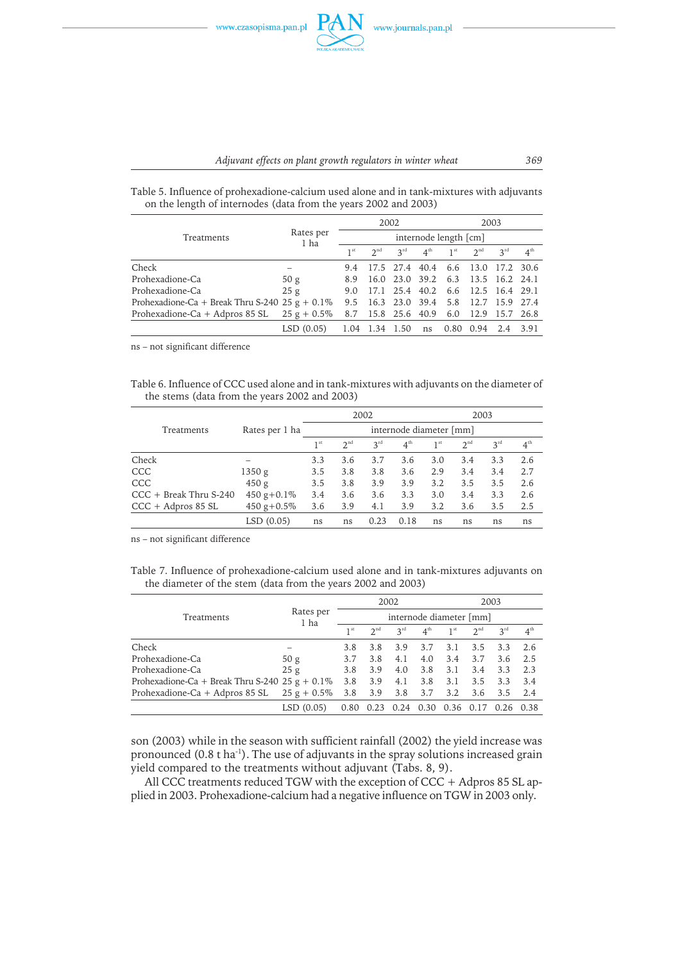

Table 5. Influence of prohexadione-calcium used alone and in tank-mixtures with adjuvants on the length of internodes (data from the years 2002 and 2003)

|                                                   |                   | 2002            |                       |                    |                 |                 | 2003                              |                 |                 |  |
|---------------------------------------------------|-------------------|-----------------|-----------------------|--------------------|-----------------|-----------------|-----------------------------------|-----------------|-----------------|--|
| Treatments                                        | Rates per<br>1 ha |                 | internode length [cm] |                    |                 |                 |                                   |                 |                 |  |
|                                                   |                   | 1 <sup>st</sup> | 2 <sup>nd</sup>       | $3^{\text{rd}}$    | $4^{\text{th}}$ | 1 <sup>st</sup> | 2 <sup>nd</sup>                   | $2^{\text{rd}}$ | 4 <sup>th</sup> |  |
| Check                                             |                   | 9.4             |                       | 17.5 27.4          | 40.4            |                 | 6.6 13.0                          | 17.2 30.6       |                 |  |
| Prohexadione-Ca                                   | 50 g              | 8.9             |                       | 16.0 23.0 39.2     |                 | 6.3             | 13.5 16.2 24.1                    |                 |                 |  |
| Prohexadione-Ca                                   | 25 g              | 9.0             |                       | 17.1 25.4 40.2     |                 |                 | 6.6 12.5 16.4 29.1                |                 |                 |  |
| Prohexadione-Ca + Break Thru S-240 25 g + $0.1\%$ |                   | 9.5             |                       | 16.3 23.0 39.4 5.8 |                 |                 | 12.7 15.9 27.4                    |                 |                 |  |
| Prohexadione-Ca + Adpros 85 SL $25 g + 0.5\%$     |                   | 8.7             |                       |                    |                 |                 | 15.8 25.6 40.9 6.0 12.9 15.7 26.8 |                 |                 |  |
|                                                   | LSD(0.05)         | 1.04            | 1.34 1.50             |                    | ns              |                 | 0.80 0.94                         | 2.4             | 3.91            |  |

ns – not significant difference

Table 6. Influence of CCC used alone and in tank-mixtures with adjuvants on the diameter of the stems (data from the years 2002 and 2003)

|                              |                |                 |                         | 2002            |                 | 2003            |                 |                 |                 |  |  |  |
|------------------------------|----------------|-----------------|-------------------------|-----------------|-----------------|-----------------|-----------------|-----------------|-----------------|--|--|--|
| Rates per 1 ha<br>Treatments |                |                 | internode diameter [mm] |                 |                 |                 |                 |                 |                 |  |  |  |
|                              |                | 1 <sup>st</sup> | 2 <sup>nd</sup>         | 3 <sup>rd</sup> | 4 <sup>th</sup> | 1 <sup>st</sup> | 2 <sup>nd</sup> | 3 <sup>rd</sup> | $4^{\text{th}}$ |  |  |  |
| Check                        |                | 3.3             | 3.6                     | 3.7             | 3.6             | 3.0             | 3.4             | 3.3             | 2.6             |  |  |  |
| CCC                          | 1350 g         | 3.5             | 3.8                     | 3.8             | 3.6             | 2.9             | 3.4             | 3.4             | 2.7             |  |  |  |
| <b>CCC</b>                   | 450 g          | 3.5             | 3.8                     | 3.9             | 3.9             | 3.2             | 3.5             | 3.5             | 2.6             |  |  |  |
| $CCC + Break Thru S-240$     | 450 g+ $0.1\%$ | 3.4             | 3.6                     | 3.6             | 3.3             | 3.0             | 3.4             | 3.3             | 2.6             |  |  |  |
| $CCC + Adpros 85 SL$         | 450 g+ $0.5\%$ | 3.6             | 3.9                     | 4.1             | 3.9             | 3.2             | 3.6             | 3.5             | 2.5             |  |  |  |
|                              | LSD(0.05)      | ns              | ns                      | 0.23            | 0.18            | ns              | ns              | ns              | ns              |  |  |  |

ns – not significant difference

Table 7. Influence of prohexadione-calcium used alone and in tank-mixtures adjuvants on the diameter of the stem (data from the years 2002 and 2003)

|                                                   |                   | 2002            |                         |                 |                 |                 | 2003            |                 |                 |  |
|---------------------------------------------------|-------------------|-----------------|-------------------------|-----------------|-----------------|-----------------|-----------------|-----------------|-----------------|--|
| Treatments                                        | Rates per<br>1 ha |                 | internode diameter [mm] |                 |                 |                 |                 |                 |                 |  |
|                                                   |                   | 1 <sup>st</sup> | 2 <sup>nd</sup>         | 3 <sup>rd</sup> | 4 <sup>th</sup> | 1 <sup>st</sup> | 2 <sup>nd</sup> | 3 <sup>rd</sup> | 4 <sup>th</sup> |  |
| Check                                             |                   | 3.8             | 3.8                     | 3.9             | 3.7             | 3.1             | 3.5             | 3.3             | 2.6             |  |
| Prohexadione-Ca                                   | 50 <sub>g</sub>   | 3.7             | 3.8                     | 4.1             | 4.0             | 3.4             | 3.7             | 3.6             | 2.5             |  |
| Prohexadione-Ca                                   | 25 g              | 3.8             | 3.9                     | 4.0             | 3.8             | 3.1             | 3.4             | 3.3             | 2.3             |  |
| Prohexadione-Ca + Break Thru S-240 25 g + $0.1\%$ |                   | 3.8             | 3.9                     | 4.1             | 3.8             | 3.1             | 3.5             | 3.3             | 3.4             |  |
| Prohexadione-Ca + Adpros 85 SL $25 g + 0.5\%$     |                   | 3.8             | 3.9                     | 3.8             | 3.7             | 3.2             | 3.6             | 3.5             | -2.4            |  |
|                                                   | LSD (0.05)        | 0.80            | 0.23                    | 0.24            | 0.30            | 0.36            | 0.17            | 0.26            |                 |  |

son (2003) while in the season with sufficient rainfall (2002) the yield increase was pronounced (0.8 t ha<sup>-1</sup>). The use of adjuvants in the spray solutions increased grain yield compared to the treatments without adjuvant (Tabs. 8, 9).

All CCC treatments reduced TGW with the exception of CCC + Adpros 85 SL applied in 2003. Prohexadione-calcium had a negative influence on TGW in 2003 only.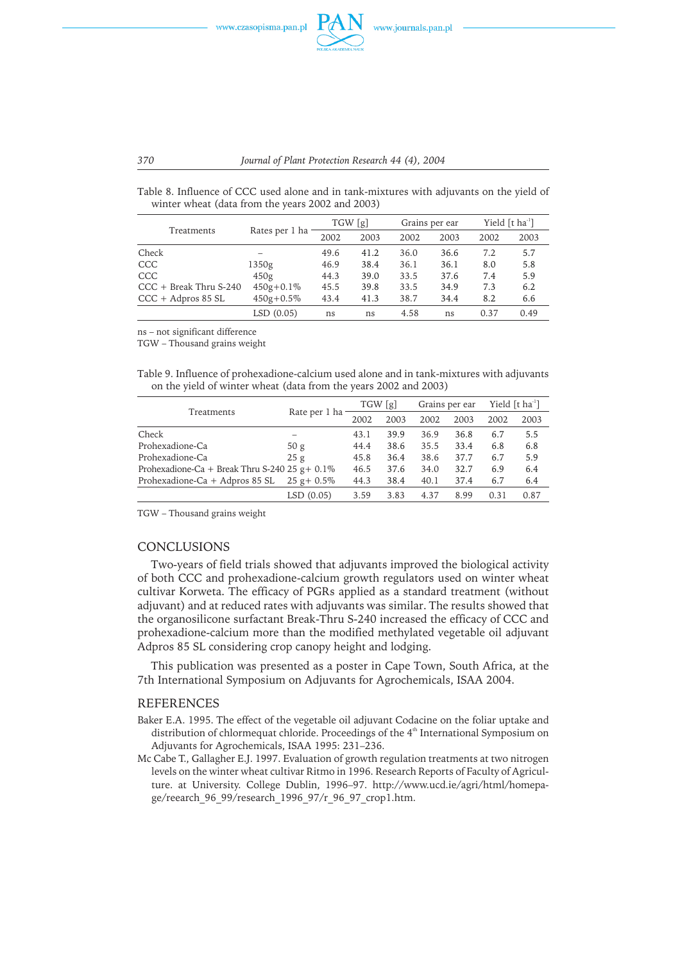



Table 8. Influence of CCC used alone and in tank-mixtures with adjuvants on the yield of winter wheat (data from the years 2002 and 2003)

|                          |                |      | TGW [g] |      | Grains per ear | Yield $[tha-1]$ |      |
|--------------------------|----------------|------|---------|------|----------------|-----------------|------|
| Treatments               | Rates per 1 ha | 2002 | 2003    | 2002 | 2003           | 2002            | 2003 |
| Check                    | -              | 49.6 | 41.2    | 36.0 | 36.6           | 7.2             | 5.7  |
| <b>CCC</b>               | 1350g          | 46.9 | 38.4    | 36.1 | 36.1           | 8.0             | 5.8  |
| <b>CCC</b>               | 450g           | 44.3 | 39.0    | 33.5 | 37.6           | 7.4             | 5.9  |
| $CCC + Break Thru S-240$ | $450g + 0.1\%$ | 45.5 | 39.8    | 33.5 | 34.9           | 7.3             | 6.2  |
| $CCC + Adpros 85 SL$     | $450g + 0.5\%$ | 43.4 | 41.3    | 38.7 | 34.4           | 8.2             | 6.6  |
|                          | LSD(0.05)      | ns   | ns      | 4.58 | ns             | 0.37            | 0.49 |

ns – not significant difference

TGW – Thousand grains weight

Table 9. Influence of prohexadione-calcium used alone and in tank-mixtures with adjuvants on the yield of winter wheat (data from the years 2002 and 2003)

|                                                   |                | TGW [g] |                                                                                                                                                                                                                         | Grains per ear |  | Yield $[tha-1]$ |      |
|---------------------------------------------------|----------------|---------|-------------------------------------------------------------------------------------------------------------------------------------------------------------------------------------------------------------------------|----------------|--|-----------------|------|
| Treatments                                        | Rate per 1 ha  | 2002    | 2003<br>2002<br>2003<br>2002<br>39.9<br>6.7<br>36.9<br>36.8<br>38.6<br>33.4<br>6.8<br>35.5<br>6.7<br>38.6<br>37.7<br>36.4<br>6.9<br>37.6<br>32.7<br>34.0<br>6.7<br>38.4<br>40.1<br>37.4<br>3.83<br>4.37<br>8.99<br>0.31 | 2003           |  |                 |      |
| Check                                             |                | 43.1    |                                                                                                                                                                                                                         |                |  |                 | 5.5  |
| Prohexadione-Ca                                   | 50 g           | 44.4    |                                                                                                                                                                                                                         |                |  |                 | 6.8  |
| Prohexadione-Ca                                   | 25g            | 45.8    |                                                                                                                                                                                                                         |                |  |                 | 5.9  |
| Prohexadione-Ca + Break Thru S-240 25 $g + 0.1\%$ |                | 46.5    |                                                                                                                                                                                                                         |                |  |                 | 6.4  |
| Prohexadione-Ca + Adpros 85 SL                    | $25 g + 0.5\%$ | 44.3    |                                                                                                                                                                                                                         |                |  |                 | 6.4  |
|                                                   | LSD (0.05)     | 3.59    |                                                                                                                                                                                                                         |                |  |                 | 0.87 |

TGW – Thousand grains weight

#### **CONCLUSIONS**

Two-years of field trials showed that adjuvants improved the biological activity of both CCC and prohexadione-calcium growth regulators used on winter wheat cultivar Korweta. The efficacy of PGRs applied as a standard treatment (without adjuvant) and at reduced rates with adjuvants was similar. The results showed that the organosilicone surfactant Break-Thru S-240 increased the efficacy of CCC and prohexadione-calcium more than the modified methylated vegetable oil adjuvant Adpros 85 SL considering crop canopy height and lodging.

This publication was presented as a poster in Cape Town, South Africa, at the 7th International Symposium on Adjuvants for Agrochemicals, ISAA 2004.

#### REFERENCES

- Baker E.A. 1995. The effect of the vegetable oil adjuvant Codacine on the foliar uptake and distribution of chlormequat chloride. Proceedings of the  $4<sup>th</sup>$  International Symposium on Adjuvants for Agrochemicals, ISAA 1995: 231–236.
- McCabe T., Gallagher E.J. 1997. Evaluation of growth regulation treatments at two nitrogen levels on the winter wheat cultivar Ritmo in 1996. Research Reports of Faculty of Agriculture. at University. College Dublin, 1996–97. http://www.ucd.ie/agri/html/homepage/reearch 96 99/research 1996 97/r 96 97 crop1.htm.